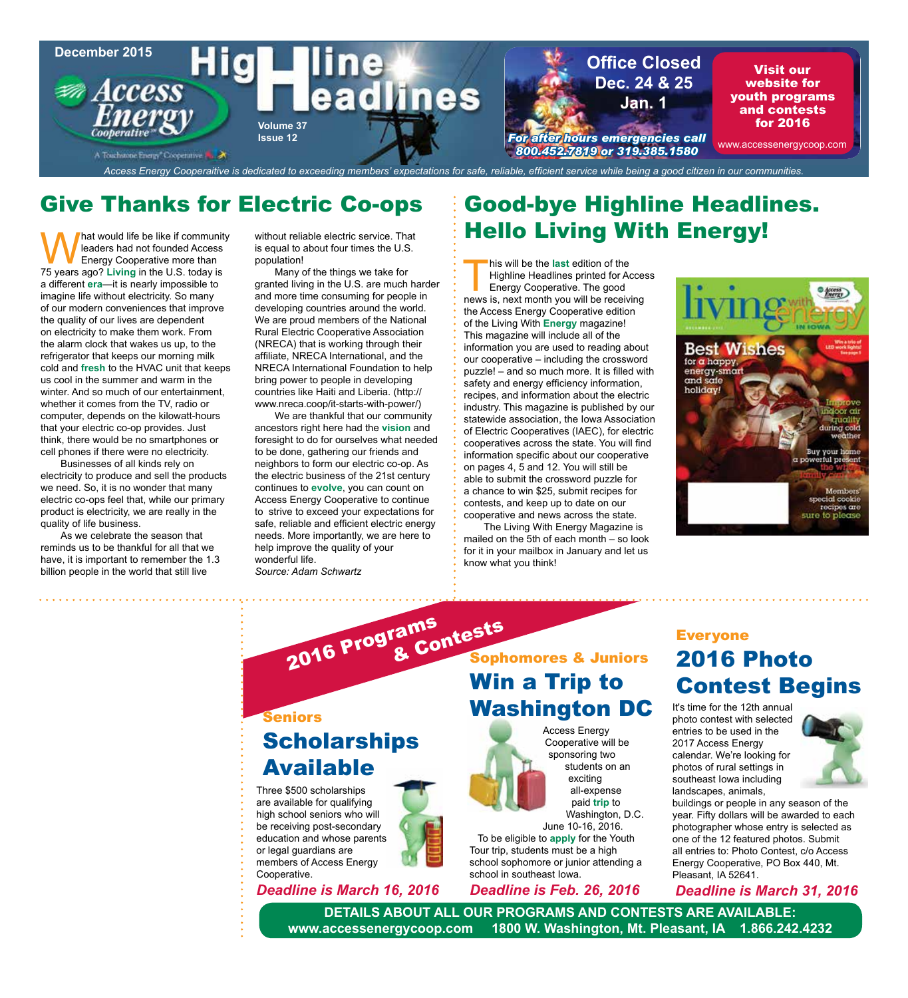

## Give Thanks for Electric Co-ops

Mat would life be like if community<br>leaders had not founded Access<br>Energy Cooperative more than<br>75 years ago? Living in the U.S. today is leaders had not founded Access Energy Cooperative more than 75 years ago? **Living** in the U.S. today is a different **era**—it is nearly impossible to imagine life without electricity. So many of our modern conveniences that improve the quality of our lives are dependent on electricity to make them work. From the alarm clock that wakes us up, to the refrigerator that keeps our morning milk cold and **fresh** to the HVAC unit that keeps us cool in the summer and warm in the winter. And so much of our entertainment, whether it comes from the TV, radio or computer, depends on the kilowatt-hours that your electric co-op provides. Just think, there would be no smartphones or cell phones if there were no electricity.

Businesses of all kinds rely on electricity to produce and sell the products we need. So, it is no wonder that many electric co-ops feel that, while our primary product is electricity, we are really in the quality of life business.

As we celebrate the season that reminds us to be thankful for all that we have, it is important to remember the 1.3 billion people in the world that still live

without reliable electric service. That is equal to about four times the U.S. population!

Many of the things we take for granted living in the U.S. are much harder and more time consuming for people in developing countries around the world. We are proud members of the National Rural Electric Cooperative Association (NRECA) that is working through their affiliate, NRECA International, and the NRECA International Foundation to help bring power to people in developing countries like Haiti and Liberia. (http:// www.nreca.coop/it-starts-with-power/)

We are thankful that our community ancestors right here had the **vision** and foresight to do for ourselves what needed to be done, gathering our friends and neighbors to form our electric co-op. As the electric business of the 21st century continues to **evolve**, you can count on Access Energy Cooperative to continue to strive to exceed your expectations for safe, reliable and efficient electric energy needs. More importantly, we are here to help improve the quality of your wonderful life.

*Source: Adam Schwartz*

## Good-bye Highline Headlines. Hello Living With Energy!

his will be the **last** edition of the<br>Highline Headlines printed for Ad<br>Energy Cooperative. The good<br>news is next month you will be receive Highline Headlines printed for Access Energy Cooperative. The good news is, next month you will be receiving the Access Energy Cooperative edition of the Living With **Energy** magazine! This magazine will include all of the information you are used to reading about our cooperative – including the crossword puzzle! – and so much more. It is filled with safety and energy efficiency information, recipes, and information about the electric industry. This magazine is published by our statewide association, the Iowa Association of Electric Cooperatives (IAEC), for electric cooperatives across the state. You will find information specific about our cooperative on pages 4, 5 and 12. You will still be able to submit the crossword puzzle for a chance to win \$25, submit recipes for contests, and keep up to date on our cooperative and news across the state.

The Living With Energy Magazine is mailed on the 5th of each month – so look for it in your mailbox in January and let us know what you think!

> Access Energy Cooperative will be sponsoring two students on an exciting all-expense paid **trip** to Washington, D.C.

June 10-16, 2016.



### Everyone 2016 Photo Contest Begins

It's time for the 12th annual photo contest with selected entries to be used in the 2017 Access Energy calendar. We're looking for photos of rural settings in southeast Iowa including landscapes, animals,



buildings or people in any season of the year. Fifty dollars will be awarded to each photographer whose entry is selected as one of the 12 featured photos. Submit all entries to: Photo Contest, c/o Access Energy Cooperative, PO Box 440, Mt. Pleasant, IA 52641.

*Deadline is March 31, 2016*

*Deadline is Feb. 26, 2016* **DETAILS ABOUT ALL OUR PROGRAMS AND CONTESTS ARE AVAILABLE: www.accessenergycoop.com 1800 W. Washington, Mt. Pleasant, IA 1.866.242.4232**

school in southeast Iowa.

8. Contests<br>Sophomores & Juniors

Win a Trip to

school sophomore or junior attending a

### Seniors Washington DC **Scholarships** Available

2016 Programs & Contests

Three \$500 scholarships are available for qualifying high school seniors who will be receiving post-secondary education and whose parents or legal guardians are members of Access Energy Cooperative.

*Deadline is March 16, 2016*

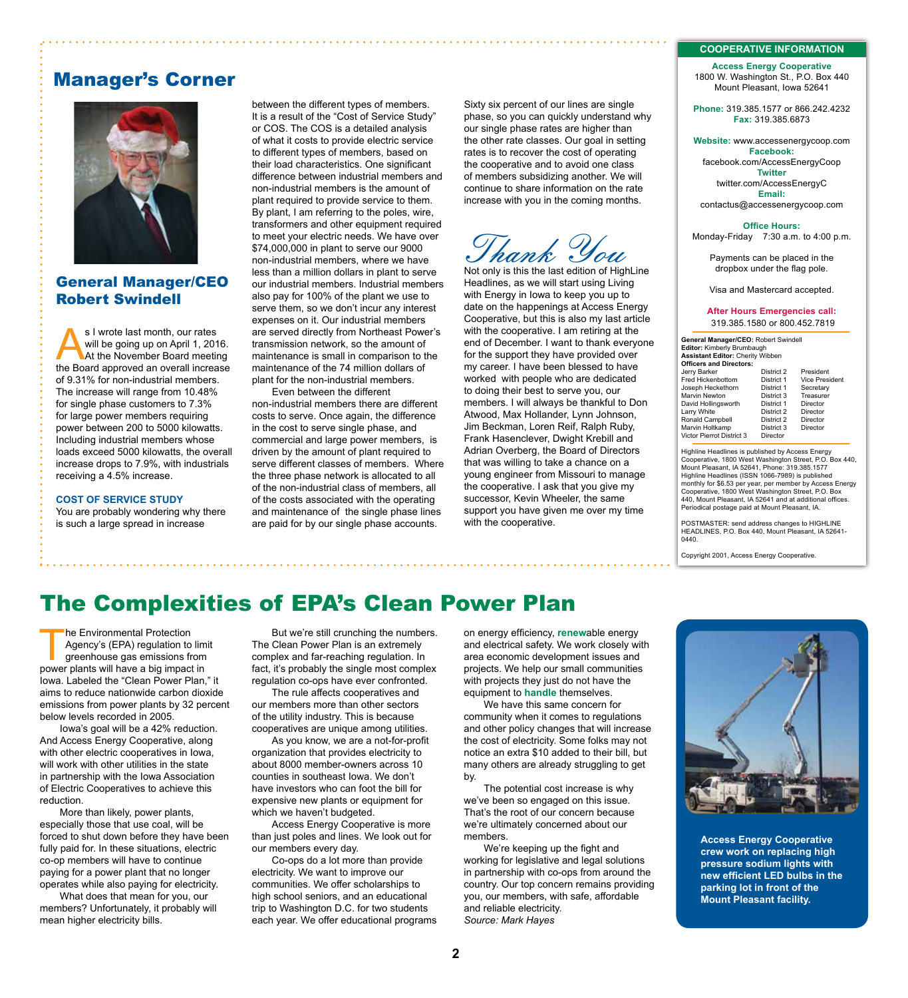#### **COOPERATIVE INFORMATION**

**Access Energy Cooperative** 1800 W. Washington St., P.O. Box 440 Mount Pleasant, Iowa 52641

**Phone:** 319.385.1577 or 866.242.4232 **Fax:** 319.385.6873

#### **Website:** www.accessenergycoop.com **Facebook:** facebook.com/AccessEnergyCoop **Twitter** twitter.com/AccessEnergyC **Email:** contactus@accessenergycoop.com

**Office Hours:** Monday-Friday7:30 a.m. to 4:00 p.m.

Payments can be placed in the dropbox under the flag pole.

Visa and Mastercard accepted.

#### **After Hours Emergencies call:** 319.385.1580 or 800.452.7819

**General Manager/CEO:** Robert Swindell **Editor:** Kimberly Brumbaugh **Assistant Editor:** Cherity Wibben **Officers and Directors:** Jerry Barker District 2 President Fred Hickenbottom District 1 Vice President Joseph Heckethorn District 1 Secretary Marvin Newton District 3<br>David Hollingsworth District 1 David Hollingsworth District 1 Director Larry White **District 2** Director<br>
Ronald Campbell **District 2** Director Langer Maria Presser<br>Ronald Campbell District 2 Director<br>Marvin Holtkamp District 3 Director Marvin Holtkamp District 3 Director Victor Pierrot District 3 Director

Highline Headlines is published by Access Energy Cooperative, 1800 West Washington Street, P.O. Box 440, Mount Pleasant, IA 52641, Phone: 319.385.1577 Highline Headlines (ISSN 1066-7989) is published monthly for \$6.53 per year, per member by Access Energy Cooperative, 1800 West Washington Street, P.O. Box 440, Mount Pleasant, IA 52641 and at additional offices. Periodical postage paid at Mount Pleasant, IA.

POSTMASTER: send address changes to HIGHLINE HEADLINES, P.O. Box 440, Mount Pleasant, IA 52641- 0440.

Copyright 2001, Access Energy Cooperative.

### Manager's Corner



### General Manager/CEO Robert Swindell

s I wrote last month, our rates<br>
will be going up on April 1, 2016.<br>
At the November Board meeting<br>
the Board annroved an overall increase will be going up on April 1, 2016. the Board approved an overall increase of 9.31% for non-industrial members. The increase will range from 10.48% for single phase customers to 7.3% for large power members requiring power between 200 to 5000 kilowatts. Including industrial members whose loads exceed 5000 kilowatts, the overall increase drops to 7.9%, with industrials receiving a 4.5% increase.

**COST OF SERVICE STUDY**

You are probably wondering why there is such a large spread in increase

between the different types of members. It is a result of the "Cost of Service Study" or COS. The COS is a detailed analysis of what it costs to provide electric service to different types of members, based on their load characteristics. One significant difference between industrial members and non-industrial members is the amount of plant required to provide service to them. By plant, I am referring to the poles, wire, transformers and other equipment required to meet your electric needs. We have over \$74,000,000 in plant to serve our 9000 non-industrial members, where we have less than a million dollars in plant to serve our industrial members. Industrial members also pay for 100% of the plant we use to serve them, so we don't incur any interest expenses on it. Our industrial members are served directly from Northeast Power's transmission network, so the amount of maintenance is small in comparison to the maintenance of the 74 million dollars of plant for the non-industrial members. Even between the different

non-industrial members there are different costs to serve. Once again, the difference in the cost to serve single phase, and commercial and large power members, is driven by the amount of plant required to serve different classes of members. Where the three phase network is allocated to all of the non-industrial class of members, all of the costs associated with the operating and maintenance of the single phase lines are paid for by our single phase accounts.

### The Complexities of EPA's Clean Power Plan

he Environmental Protection<br>
Agency's (EPA) regulation to limi<br>
greenhouse gas emissions from<br>
nower plants will have a big impact in Agency's (EPA) regulation to limit power plants will have a big impact in Iowa. Labeled the "Clean Power Plan," it aims to reduce nationwide carbon dioxide emissions from power plants by 32 percent below levels recorded in 2005.

Iowa's goal will be a 42% reduction. And Access Energy Cooperative, along with other electric cooperatives in Iowa, will work with other utilities in the state in partnership with the Iowa Association of Electric Cooperatives to achieve this reduction.

More than likely, power plants, especially those that use coal, will be forced to shut down before they have been fully paid for. In these situations, electric co-op members will have to continue paying for a power plant that no longer operates while also paying for electricity.

What does that mean for you, our members? Unfortunately, it probably will mean higher electricity bills.

But we're still crunching the numbers. The Clean Power Plan is an extremely complex and far-reaching regulation. In fact, it's probably the single most complex regulation co-ops have ever confronted.

The rule affects cooperatives and our members more than other sectors of the utility industry. This is because cooperatives are unique among utilities.

As you know, we are a not-for-profit organization that provides electricity to about 8000 member-owners across 10 counties in southeast Iowa. We don't have investors who can foot the bill for expensive new plants or equipment for which we haven't budgeted.

Access Energy Cooperative is more than just poles and lines. We look out for our members every day.

Co-ops do a lot more than provide electricity. We want to improve our communities. We offer scholarships to high school seniors, and an educational trip to Washington D.C. for two students each year. We offer educational programs on energy efficiency, **renew**able energy and electrical safety. We work closely with area economic development issues and projects. We help our small communities with projects they just do not have the equipment to **handle** themselves.

with the cooperative.

Sixty six percent of our lines are single phase, so you can quickly understand why our single phase rates are higher than the other rate classes. Our goal in setting rates is to recover the cost of operating the cooperative and to avoid one class of members subsidizing another. We will continue to share information on the rate increase with you in the coming months.

Thank You

Not only is this the last edition of HighLine Headlines, as we will start using Living with Energy in Iowa to keep you up to date on the happenings at Access Energy Cooperative, but this is also my last article with the cooperative. I am retiring at the end of December. I want to thank everyone for the support they have provided over my career. I have been blessed to have worked with people who are dedicated to doing their best to serve you, our members. I will always be thankful to Don Atwood, Max Hollander, Lynn Johnson, Jim Beckman, Loren Reif, Ralph Ruby, Frank Hasenclever, Dwight Krebill and Adrian Overberg, the Board of Directors that was willing to take a chance on a young engineer from Missouri to manage the cooperative. I ask that you give my successor, Kevin Wheeler, the same support you have given me over my time

We have this same concern for community when it comes to regulations and other policy changes that will increase the cost of electricity. Some folks may not notice an extra \$10 added to their bill, but many others are already struggling to get by.

The potential cost increase is why we've been so engaged on this issue. That's the root of our concern because we're ultimately concerned about our members.

We're keeping up the fight and working for legislative and legal solutions in partnership with co-ops from around the country. Our top concern remains providing you, our members, with safe, affordable and reliable electricity. *Source: Mark Hayes*

**Access Energy Cooperative crew work on replacing high pressure sodium lights with new efficient LED bulbs in the parking lot in front of the Mount Pleasant facility.**

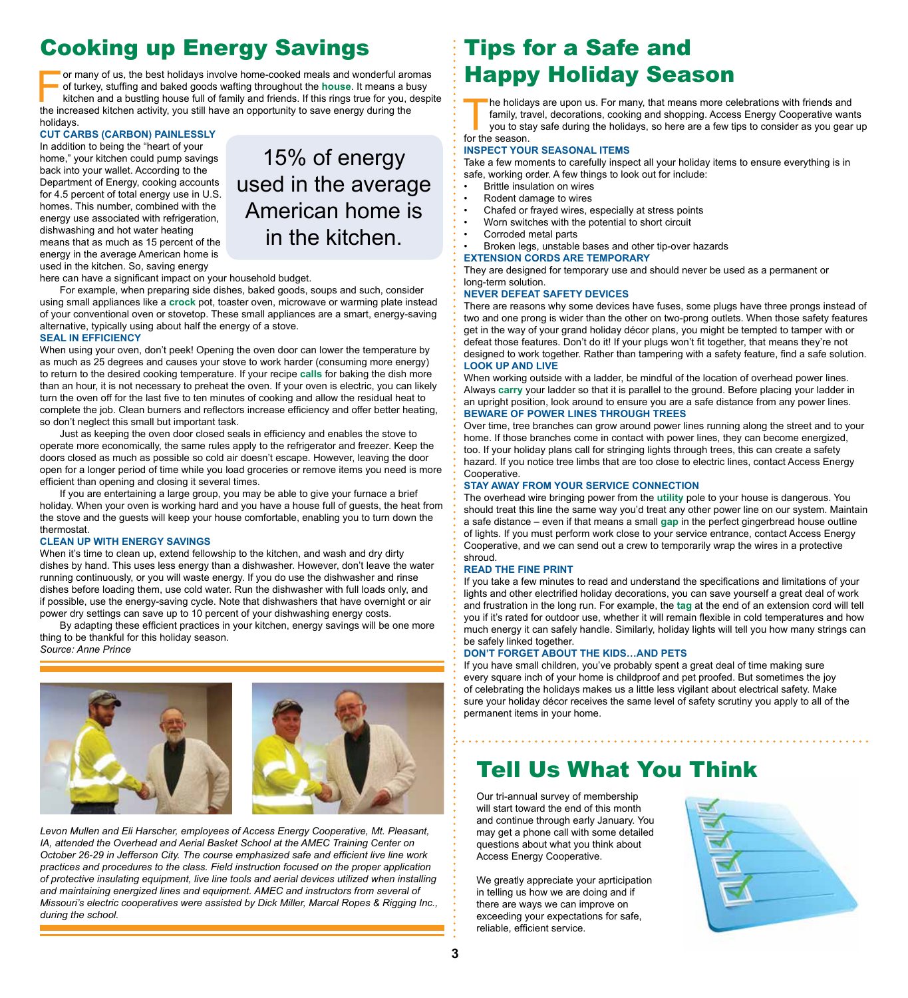# Cooking up Energy Savings

For many of us, the best holidays involve home-cooked meals and wonderful aromas<br>of turkey, stuffing and baked goods wafting throughout the **house**. It means a busy<br>kitchen and a bustling house full of family and friends. of turkey, stuffing and baked goods wafting throughout the **house**. It means a busy kitchen and a bustling house full of family and friends. If this rings true for you, despite the increased kitchen activity, you still have an opportunity to save energy during the holidays.

### **CUT CARBS (CARBON) PAINLESSLY**

In addition to being the "heart of your home," your kitchen could pump savings back into your wallet. According to the Department of Energy, cooking accounts for 4.5 percent of total energy use in U.S. homes. This number, combined with the energy use associated with refrigeration, dishwashing and hot water heating means that as much as 15 percent of the energy in the average American home is used in the kitchen. So, saving energy

15% of energy used in the average American home is in the kitchen.

here can have a significant impact on your household budget.

For example, when preparing side dishes, baked goods, soups and such, consider using small appliances like a **crock** pot, toaster oven, microwave or warming plate instead of your conventional oven or stovetop. These small appliances are a smart, energy-saving alternative, typically using about half the energy of a stove.

#### **SEAL IN EFFICIENCY**

When using your oven, don't peek! Opening the oven door can lower the temperature by as much as 25 degrees and causes your stove to work harder (consuming more energy) to return to the desired cooking temperature. If your recipe **calls** for baking the dish more than an hour, it is not necessary to preheat the oven. If your oven is electric, you can likely turn the oven off for the last five to ten minutes of cooking and allow the residual heat to complete the job. Clean burners and reflectors increase efficiency and offer better heating, so don't neglect this small but important task.

Just as keeping the oven door closed seals in efficiency and enables the stove to operate more economically, the same rules apply to the refrigerator and freezer. Keep the doors closed as much as possible so cold air doesn't escape. However, leaving the door open for a longer period of time while you load groceries or remove items you need is more efficient than opening and closing it several times.

If you are entertaining a large group, you may be able to give your furnace a brief holiday. When your oven is working hard and you have a house full of guests, the heat from the stove and the guests will keep your house comfortable, enabling you to turn down the thermostat.

#### **CLEAN UP WITH ENERGY SAVINGS**

When it's time to clean up, extend fellowship to the kitchen, and wash and dry dirty dishes by hand. This uses less energy than a dishwasher. However, don't leave the water running continuously, or you will waste energy. If you do use the dishwasher and rinse dishes before loading them, use cold water. Run the dishwasher with full loads only, and if possible, use the energy-saving cycle. Note that dishwashers that have overnight or air power dry settings can save up to 10 percent of your dishwashing energy costs.

By adapting these efficient practices in your kitchen, energy savings will be one more thing to be thankful for this holiday season.







*Levon Mullen and Eli Harscher, employees of Access Energy Cooperative, Mt. Pleasant, IA, attended the Overhead and Aerial Basket School at the AMEC Training Center on October 26-29 in Jefferson City. The course emphasized safe and efficient live line work practices and procedures to the class. Field instruction focused on the proper application of protective insulating equipment, live line tools and aerial devices utilized when installing and maintaining energized lines and equipment. AMEC and instructors from several of Missouri's electric cooperatives were assisted by Dick Miller, Marcal Ropes & Rigging Inc., during the school.*

### Tips for a Safe and Happy Holiday Season

The holidays are upon us. For many, that means more celebrations with friends and family, travel, decorations, cooking and shopping. Access Energy Cooperative want you to stay safe during the holidays, so here are a few ti family, travel, decorations, cooking and shopping. Access Energy Cooperative wants you to stay safe during the holidays, so here are a few tips to consider as you gear up

for the season.

#### **INSPECT YOUR SEASONAL ITEMS**

Take a few moments to carefully inspect all your holiday items to ensure everything is in safe, working order. A few things to look out for include:

- Brittle insulation on wires
- Rodent damage to wires
- Chafed or frayed wires, especially at stress points
- Worn switches with the potential to short circuit
- Corroded metal parts
- Broken legs, unstable bases and other tip-over hazards

### **EXTENSION CORDS ARE TEMPORARY**

They are designed for temporary use and should never be used as a permanent or long-term solution.

#### **NEVER DEFEAT SAFETY DEVICES**

There are reasons why some devices have fuses, some plugs have three prongs instead of two and one prong is wider than the other on two-prong outlets. When those safety features get in the way of your grand holiday décor plans, you might be tempted to tamper with or defeat those features. Don't do it! If your plugs won't fit together, that means they're not designed to work together. Rather than tampering with a safety feature, find a safe solution. **LOOK UP AND LIVE**

When working outside with a ladder, be mindful of the location of overhead power lines. Always **carry** your ladder so that it is parallel to the ground. Before placing your ladder in an upright position, look around to ensure you are a safe distance from any power lines. **BEWARE OF POWER LINES THROUGH TREES**

Over time, tree branches can grow around power lines running along the street and to your home. If those branches come in contact with power lines, they can become energized, too. If your holiday plans call for stringing lights through trees, this can create a safety hazard. If you notice tree limbs that are too close to electric lines, contact Access Energy Cooperative.

### **STAY AWAY FROM YOUR SERVICE CONNECTION**

The overhead wire bringing power from the **utility** pole to your house is dangerous. You should treat this line the same way you'd treat any other power line on our system. Maintain a safe distance – even if that means a small **gap** in the perfect gingerbread house outline of lights. If you must perform work close to your service entrance, contact Access Energy Cooperative, and we can send out a crew to temporarily wrap the wires in a protective shroud.

### **READ THE FINE PRINT**

If you take a few minutes to read and understand the specifications and limitations of your lights and other electrified holiday decorations, you can save yourself a great deal of work and frustration in the long run. For example, the **tag** at the end of an extension cord will tell you if it's rated for outdoor use, whether it will remain flexible in cold temperatures and how much energy it can safely handle. Similarly, holiday lights will tell you how many strings can be safely linked together.

### **DON'T FORGET ABOUT THE KIDS…AND PETS**

If you have small children, you've probably spent a great deal of time making sure every square inch of your home is childproof and pet proofed. But sometimes the joy of celebrating the holidays makes us a little less vigilant about electrical safety. Make sure your holiday décor receives the same level of safety scrutiny you apply to all of the permanent items in your home.

### Tell Us What You Think

Our tri-annual survey of membership will start toward the end of this month and continue through early January. You may get a phone call with some detailed questions about what you think about Access Energy Cooperative.

We greatly appreciate your aprticipation in telling us how we are doing and if there are ways we can improve on exceeding your expectations for safe, reliable, efficient service.